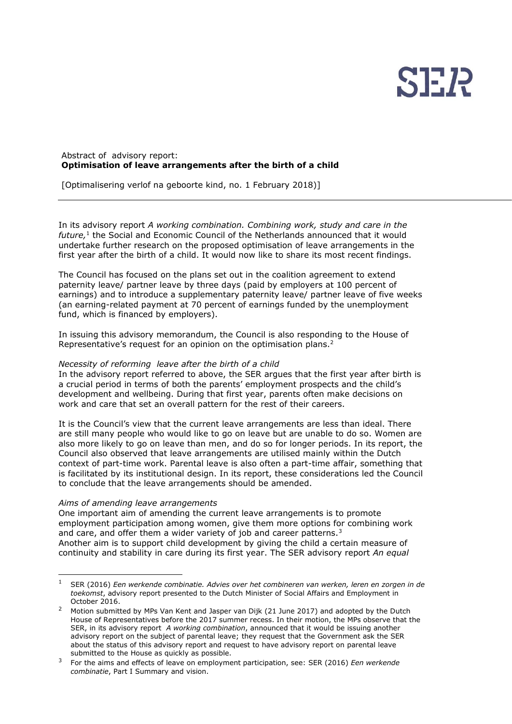

# Abstract of advisory report: **Optimisation of leave arrangements after the birth of a child**

[Optimalisering verlof na geboorte kind, no. 1 February 2018)]

In its advisory report *A working combination. Combining work, study and care in the*  future,<sup>1</sup> the Social and Economic Council of the Netherlands announced that it would undertake further research on the proposed optimisation of leave arrangements in the first year after the birth of a child. It would now like to share its most recent findings.

The Council has focused on the plans set out in the coalition agreement to extend paternity leave/ partner leave by three days (paid by employers at 100 percent of earnings) and to introduce a supplementary paternity leave/ partner leave of five weeks (an earning-related payment at 70 percent of earnings funded by the unemployment fund, which is financed by employers).

In issuing this advisory memorandum, the Council is also responding to the House of Representative's request for an opinion on the optimisation plans.<sup>2</sup>

# *Necessity of reforming leave after the birth of a child*

In the advisory report referred to above, the SER argues that the first year after birth is a crucial period in terms of both the parents' employment prospects and the child's development and wellbeing. During that first year, parents often make decisions on work and care that set an overall pattern for the rest of their careers.

It is the Council's view that the current leave arrangements are less than ideal. There are still many people who would like to go on leave but are unable to do so. Women are also more likely to go on leave than men, and do so for longer periods. In its report, the Council also observed that leave arrangements are utilised mainly within the Dutch context of part-time work. Parental leave is also often a part-time affair, something that is facilitated by its institutional design. In its report, these considerations led the Council to conclude that the leave arrangements should be amended.

## *Aims of amending leave arrangements*

One important aim of amending the current leave arrangements is to promote employment participation among women, give them more options for combining work and care, and offer them a wider variety of job and career patterns.<sup>3</sup> Another aim is to support child development by giving the child a certain measure of continuity and stability in care during its first year. The SER advisory report *An equal* 

<sup>1</sup> SER (2016) *Een werkende combinatie. Advies over het combineren van werken, leren en zorgen in de toekomst*, advisory report presented to the Dutch Minister of Social Affairs and Employment in October 2016.

<sup>2</sup> Motion submitted by MPs Van Kent and Jasper van Dijk (21 June 2017) and adopted by the Dutch House of Representatives before the 2017 summer recess. In their motion, the MPs observe that the SER, in its advisory report *A working combination*, announced that it would be issuing another advisory report on the subject of parental leave; they request that the Government ask the SER about the status of this advisory report and request to have advisory report on parental leave submitted to the House as quickly as possible.

<sup>3</sup> For the aims and effects of leave on employment participation, see: SER (2016) *Een werkende combinatie*, Part I Summary and vision.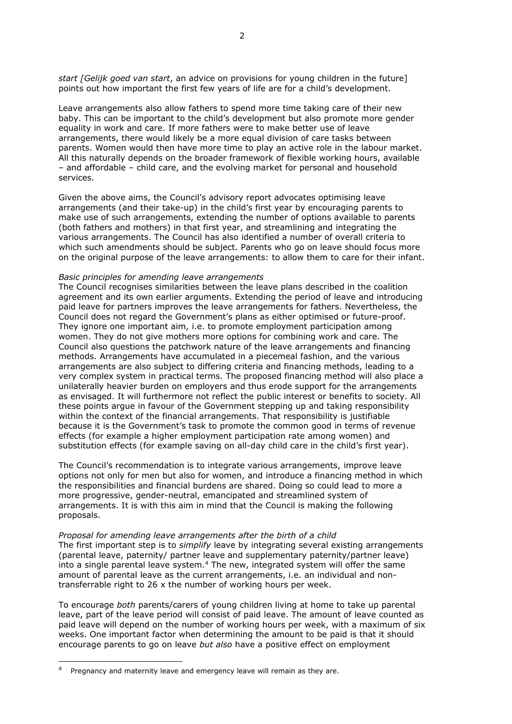*start [Gelijk goed van start*, an advice on provisions for young children in the future] points out how important the first few years of life are for a child's development.

Leave arrangements also allow fathers to spend more time taking care of their new baby. This can be important to the child's development but also promote more gender equality in work and care. If more fathers were to make better use of leave arrangements, there would likely be a more equal division of care tasks between parents. Women would then have more time to play an active role in the labour market. All this naturally depends on the broader framework of flexible working hours, available – and affordable – child care, and the evolving market for personal and household services.

Given the above aims, the Council's advisory report advocates optimising leave arrangements (and their take-up) in the child's first year by encouraging parents to make use of such arrangements, extending the number of options available to parents (both fathers and mothers) in that first year, and streamlining and integrating the various arrangements. The Council has also identified a number of overall criteria to which such amendments should be subject. Parents who go on leave should focus more on the original purpose of the leave arrangements: to allow them to care for their infant.

### *Basic principles for amending leave arrangements*

The Council recognises similarities between the leave plans described in the coalition agreement and its own earlier arguments. Extending the period of leave and introducing paid leave for partners improves the leave arrangements for fathers. Nevertheless, the Council does not regard the Government's plans as either optimised or future-proof. They ignore one important aim, i.e. to promote employment participation among women. They do not give mothers more options for combining work and care. The Council also questions the patchwork nature of the leave arrangements and financing methods. Arrangements have accumulated in a piecemeal fashion, and the various arrangements are also subject to differing criteria and financing methods, leading to a very complex system in practical terms. The proposed financing method will also place a unilaterally heavier burden on employers and thus erode support for the arrangements as envisaged. It will furthermore not reflect the public interest or benefits to society. All these points argue in favour of the Government stepping up and taking responsibility within the context of the financial arrangements. That responsibility is justifiable because it is the Government's task to promote the common good in terms of revenue effects (for example a higher employment participation rate among women) and substitution effects (for example saving on all-day child care in the child's first year).

The Council's recommendation is to integrate various arrangements, improve leave options not only for men but also for women, and introduce a financing method in which the responsibilities and financial burdens are shared. Doing so could lead to more a more progressive, gender-neutral, emancipated and streamlined system of arrangements. It is with this aim in mind that the Council is making the following proposals.

*Proposal for amending leave arrangements after the birth of a child* The first important step is to *simplify* leave by integrating several existing arrangements (parental leave, paternity/ partner leave and supplementary paternity/partner leave) into a single parental leave system.<sup>4</sup> The new, integrated system will offer the same amount of parental leave as the current arrangements, i.e. an individual and nontransferrable right to 26 x the number of working hours per week.

To encourage *both* parents/carers of young children living at home to take up parental leave, part of the leave period will consist of paid leave. The amount of leave counted as paid leave will depend on the number of working hours per week, with a maximum of six weeks. One important factor when determining the amount to be paid is that it should encourage parents to go on leave *but also* have a positive effect on employment

 $\overline{a}$ 

<sup>4</sup> Pregnancy and maternity leave and emergency leave will remain as they are.